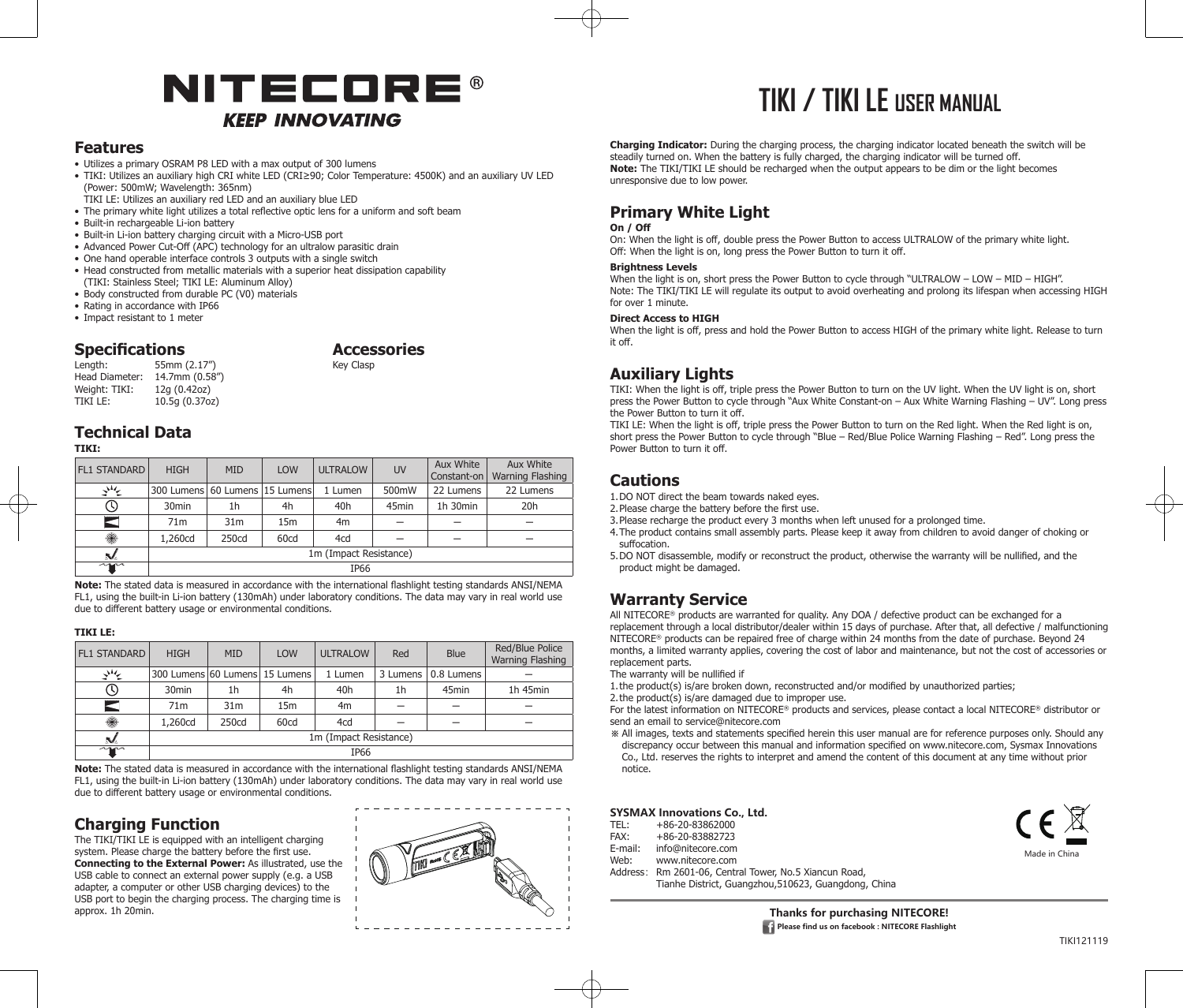## NITECORE® **KEEP INNOVATING**

## **Features**

### • Utilizes a primary OSRAM P8 LED with a max output of 300 lumens

- • TIKI: Utilizes an auxiliary high CRI white LED (CRI≥90; Color Temperature: 4500K) and an auxiliary UV LED (Power: 500mW; Wavelength: 365nm)
- TIKI LE: Utilizes an auxiliary red LED and an auxiliary blue LED
- The primary white light utilizes a total reflective optic lens for a uniform and soft beam
- Built-in rechargeable Li-ion battery
- Built-in Li-ion battery charging circuit with a Micro-USB port
- Advanced Power Cut-Off (APC) technology for an ultralow parasitic drain
- One hand operable interface controls 3 outputs with a single switch
- Head constructed from metallic materials with a superior heat dissipation capability (TIKI: Stainless Steel; TIKI LE: Aluminum Alloy)
- Body constructed from durable PC (V0) materials
- Rating in accordance with IP66
- Impact resistant to 1 meter

## **Specifications**<br> **Accessories**<br> **Accessories**<br> **Accessories**

55mm (2.17") Head Diameter: 14.7mm (0.58")<br>Weight: TIKI: 12g (0.42oz) Weight: TIKI:<br>TIKI LE:  $10.5q(0.37oz)$ 

## **Technical Data**

**TIKI:**

| <b>FL1 STANDARD</b> | <b>HIGH</b>                        | <b>MID</b>      | <b>LOW</b>      | <b>ULTRALOW</b> | <b>UV</b>         | Aux White<br>Constant-on | Aux White<br>Warning Flashing |  |
|---------------------|------------------------------------|-----------------|-----------------|-----------------|-------------------|--------------------------|-------------------------------|--|
| かん                  | 300 Lumens   60 Lumens   15 Lumens |                 |                 | 1 Lumen         | 500mW             | 22 Lumens                | 22 Lumens                     |  |
| U)                  | 30 <sub>min</sub>                  | 1h              | 4h              | 40h             | 45 <sub>min</sub> | 1h 30min                 | 20h                           |  |
| Ξ                   | 71 <sub>m</sub>                    | 31 <sub>m</sub> | 15 <sub>m</sub> | 4 <sub>m</sub>  |                   |                          |                               |  |
| $\bullet$           | 1,260cd                            | 250cd           | 60cd            | 4cd             |                   |                          |                               |  |
| N.                  | 1m (Impact Resistance)             |                 |                 |                 |                   |                          |                               |  |
| $\sim$              | IP <sub>66</sub>                   |                 |                 |                 |                   |                          |                               |  |

**Note:** The stated data is measured in accordance with the international flashlight testing standards ANSI/NEMA FL1, using the built-in Li-ion battery (130mAh) under laboratory conditions. The data may vary in real world use due to different battery usage or environmental conditions.

### **TIKI LE:**

| <b>FL1 STANDARD</b> | <b>HIGH</b>                    | <b>MID</b>           | <b>LOW</b>      | <b>ULTRALOW</b> | Red      | <b>Blue</b>       | Red/Blue Police<br>Warning Flashing |  |
|---------------------|--------------------------------|----------------------|-----------------|-----------------|----------|-------------------|-------------------------------------|--|
| 业务                  | 300 Lumens 60 Lumens 15 Lumens |                      |                 | 1 Lumen         | 3 Lumens | 0.8 Lumens        |                                     |  |
|                     | 30 <sub>min</sub>              | 1h                   | 4h              | 40 <sub>h</sub> | 1h       | 45 <sub>min</sub> | 1h 45min                            |  |
|                     | 71 <sub>m</sub>                | 31 <sub>m</sub>      | 15 <sub>m</sub> | 4 <sub>m</sub>  |          |                   |                                     |  |
| $\bullet$           | 1,260cd                        | 60cd<br>4cd<br>250cd |                 |                 |          |                   |                                     |  |
| s/.                 | 1m (Impact Resistance)         |                      |                 |                 |          |                   |                                     |  |
| 40 <sup>2</sup>     | IP66                           |                      |                 |                 |          |                   |                                     |  |

**Note:** The stated data is measured in accordance with the international flashlight testing standards ANSI/NEMA FL1, using the built-in Li-ion battery (130mAh) under laboratory conditions. The data may vary in real world use due to different battery usage or environmental conditions.

## **Charging Function**

The TIKI/TIKI LE is equipped with an intelligent charging system. Please charge the battery before the first use. **Connecting to the External Power:** As illustrated, use the USB cable to connect an external power supply (e.g. a USB adapter, a computer or other USB charging devices) to the USB port to begin the charging process. The charging time is approx. 1h 20min.



# **TIKI / TIKI LE USER MANUAL**

**Charging Indicator:** During the charging process, the charging indicator located beneath the switch will be steadily turned on. When the battery is fully charged, the charging indicator will be turned off. **Note:** The TIKI/TIKI LE should be recharged when the output appears to be dim or the light becomes unresponsive due to low power.

## **Primary White Light**

### **On / Off**

On: When the light is off, double press the Power Button to access ULTRALOW of the primary white light. Off: When the light is on, long press the Power Button to turn it off.

### **Brightness Levels**

When the light is on, short press the Power Button to cycle through "ULTRALOW – LOW – MID – HIGH". Note: The TIKI/TIKI LE will regulate its output to avoid overheating and prolong its lifespan when accessing HIGH for over 1 minute.

### **Direct Access to HIGH**

When the light is off, press and hold the Power Button to access HIGH of the primary white light. Release to turn it off.

## **Auxiliary Lights**

TIKI: When the light is off, triple press the Power Button to turn on the UV light. When the UV light is on, short press the Power Button to cycle through "Aux White Constant-on – Aux White Warning Flashing – UV". Long press the Power Button to turn it off.

TIKI LE: When the light is off, triple press the Power Button to turn on the Red light. When the Red light is on, short press the Power Button to cycle through "Blue – Red/Blue Police Warning Flashing – Red". Long press the Power Button to turn it off.

## **Cautions**

1. DO NOT direct the beam towards naked eyes.

2. Please charge the battery before the first use.

- 3. Please recharge the product every 3 months when left unused for a prolonged time.
- 4. The product contains small assembly parts. Please keep it away from children to avoid danger of choking or suffocation.
- 5. DO NOT disassemble, modify or reconstruct the product, otherwise the warranty will be nullified, and the product might be damaged.

## **Warranty Service**

All NITECORE® products are warranted for quality. Any DOA / defective product can be exchanged for a replacement through a local distributor/dealer within 15 days of purchase. After that, all defective / malfunctioning NITECORE® products can be repaired free of charge within 24 months from the date of purchase. Beyond 24 months, a limited warranty applies, covering the cost of labor and maintenance, but not the cost of accessories or replacement parts.

The warranty will be nullified if

1. the product(s) is/are broken down, reconstructed and/or modified by unauthorized parties;

2. the product(s) is/are damaged due to improper use.

For the latest information on NITECORE® products and services, please contact a local NITECORE® distributor or send an email to service@nitecore.com

- ※ All images, texts and statements specified herein this user manual are for reference purposes only. Should any discrepancy occur between this manual and information specified on www.nitecore.com, Sysmax Innovations
- Co., Ltd. reserves the rights to interpret and amend the content of this document at any time without prior notice.

### **SYSMAX Innovations Co., Ltd.**

- TEL: +86-20-83862000<br>FAX: +86-20-83882723
- FAX: +86-20-83882723
- E-mail: info@nitecore.com<br>Web: www.nitecore.com
- Web: www.nitecore.com<br>Address: Rm 2601-06, Centr
- Rm 2601-06, Central Tower, No.5 Xiancun Road,
	- Tianhe District, Guangzhou,510623, Guangdong, China

**Thanks for purchasing NITECORE! Please find us on facebook : NITECORE Flashlight**  Made in China